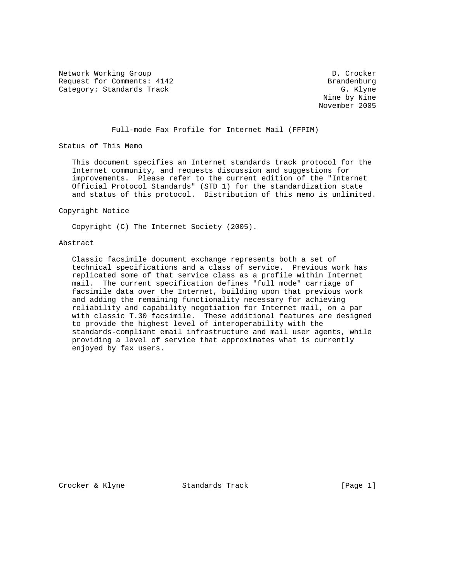Network Working Group D. Crocker Request for Comments: 4142 Brandenburg Category: Standards Track

 Nine by Nine November 2005

Full-mode Fax Profile for Internet Mail (FFPIM)

Status of This Memo

 This document specifies an Internet standards track protocol for the Internet community, and requests discussion and suggestions for improvements. Please refer to the current edition of the "Internet Official Protocol Standards" (STD 1) for the standardization state and status of this protocol. Distribution of this memo is unlimited.

Copyright Notice

Copyright (C) The Internet Society (2005).

# Abstract

 Classic facsimile document exchange represents both a set of technical specifications and a class of service. Previous work has replicated some of that service class as a profile within Internet mail. The current specification defines "full mode" carriage of facsimile data over the Internet, building upon that previous work and adding the remaining functionality necessary for achieving reliability and capability negotiation for Internet mail, on a par with classic T.30 facsimile. These additional features are designed to provide the highest level of interoperability with the standards-compliant email infrastructure and mail user agents, while providing a level of service that approximates what is currently enjoyed by fax users.

Crocker & Klyne Standards Track [Page 1]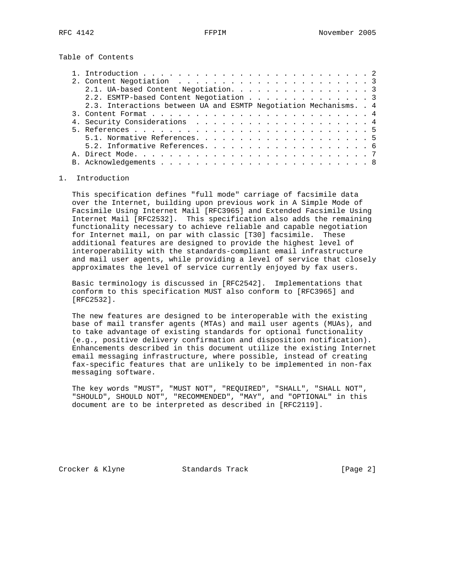Table of Contents

|  | 2.1. UA-based Content Negotiation. 3                               |  |
|--|--------------------------------------------------------------------|--|
|  | 2.2. ESMTP-based Content Negotiation 3                             |  |
|  | 2.3. Interactions between UA and ESMTP Negotiation Mechanisms. . 4 |  |
|  |                                                                    |  |
|  |                                                                    |  |
|  |                                                                    |  |
|  |                                                                    |  |
|  |                                                                    |  |
|  |                                                                    |  |
|  |                                                                    |  |
|  |                                                                    |  |

# 1. Introduction

 This specification defines "full mode" carriage of facsimile data over the Internet, building upon previous work in A Simple Mode of Facsimile Using Internet Mail [RFC3965] and Extended Facsimile Using Internet Mail [RFC2532]. This specification also adds the remaining functionality necessary to achieve reliable and capable negotiation for Internet mail, on par with classic [T30] facsimile. These additional features are designed to provide the highest level of interoperability with the standards-compliant email infrastructure and mail user agents, while providing a level of service that closely approximates the level of service currently enjoyed by fax users.

 Basic terminology is discussed in [RFC2542]. Implementations that conform to this specification MUST also conform to [RFC3965] and [RFC2532].

 The new features are designed to be interoperable with the existing base of mail transfer agents (MTAs) and mail user agents (MUAs), and to take advantage of existing standards for optional functionality (e.g., positive delivery confirmation and disposition notification). Enhancements described in this document utilize the existing Internet email messaging infrastructure, where possible, instead of creating fax-specific features that are unlikely to be implemented in non-fax messaging software.

 The key words "MUST", "MUST NOT", "REQUIRED", "SHALL", "SHALL NOT", "SHOULD", SHOULD NOT", "RECOMMENDED", "MAY", and "OPTIONAL" in this document are to be interpreted as described in [RFC2119].

Crocker & Klyne Standards Track [Page 2]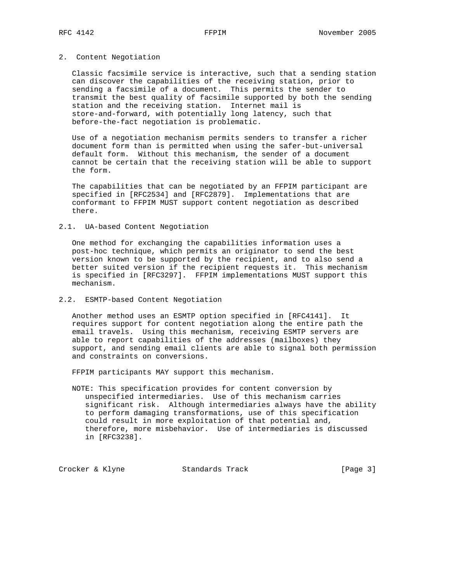### 2. Content Negotiation

 Classic facsimile service is interactive, such that a sending station can discover the capabilities of the receiving station, prior to sending a facsimile of a document. This permits the sender to transmit the best quality of facsimile supported by both the sending station and the receiving station. Internet mail is store-and-forward, with potentially long latency, such that before-the-fact negotiation is problematic.

 Use of a negotiation mechanism permits senders to transfer a richer document form than is permitted when using the safer-but-universal default form. Without this mechanism, the sender of a document cannot be certain that the receiving station will be able to support the form.

 The capabilities that can be negotiated by an FFPIM participant are specified in [RFC2534] and [RFC2879]. Implementations that are conformant to FFPIM MUST support content negotiation as described there.

# 2.1. UA-based Content Negotiation

 One method for exchanging the capabilities information uses a post-hoc technique, which permits an originator to send the best version known to be supported by the recipient, and to also send a better suited version if the recipient requests it. This mechanism is specified in [RFC3297]. FFPIM implementations MUST support this mechanism.

#### 2.2. ESMTP-based Content Negotiation

 Another method uses an ESMTP option specified in [RFC4141]. It requires support for content negotiation along the entire path the email travels. Using this mechanism, receiving ESMTP servers are able to report capabilities of the addresses (mailboxes) they support, and sending email clients are able to signal both permission and constraints on conversions.

FFPIM participants MAY support this mechanism.

 NOTE: This specification provides for content conversion by unspecified intermediaries. Use of this mechanism carries significant risk. Although intermediaries always have the ability to perform damaging transformations, use of this specification could result in more exploitation of that potential and, therefore, more misbehavior. Use of intermediaries is discussed in [RFC3238].

Crocker & Klyne Standards Track [Page 3]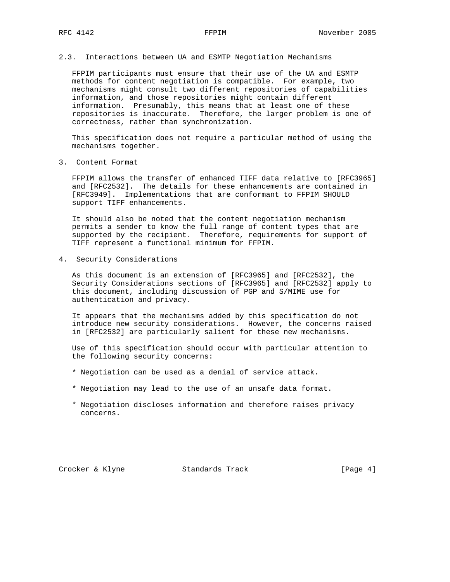# 2.3. Interactions between UA and ESMTP Negotiation Mechanisms

 FFPIM participants must ensure that their use of the UA and ESMTP methods for content negotiation is compatible. For example, two mechanisms might consult two different repositories of capabilities information, and those repositories might contain different information. Presumably, this means that at least one of these repositories is inaccurate. Therefore, the larger problem is one of correctness, rather than synchronization.

 This specification does not require a particular method of using the mechanisms together.

3. Content Format

 FFPIM allows the transfer of enhanced TIFF data relative to [RFC3965] and [RFC2532]. The details for these enhancements are contained in [RFC3949]. Implementations that are conformant to FFPIM SHOULD support TIFF enhancements.

 It should also be noted that the content negotiation mechanism permits a sender to know the full range of content types that are supported by the recipient. Therefore, requirements for support of TIFF represent a functional minimum for FFPIM.

4. Security Considerations

 As this document is an extension of [RFC3965] and [RFC2532], the Security Considerations sections of [RFC3965] and [RFC2532] apply to this document, including discussion of PGP and S/MIME use for authentication and privacy.

 It appears that the mechanisms added by this specification do not introduce new security considerations. However, the concerns raised in [RFC2532] are particularly salient for these new mechanisms.

 Use of this specification should occur with particular attention to the following security concerns:

- \* Negotiation can be used as a denial of service attack.
- \* Negotiation may lead to the use of an unsafe data format.
- \* Negotiation discloses information and therefore raises privacy concerns.

Crocker & Klyne Standards Track [Page 4]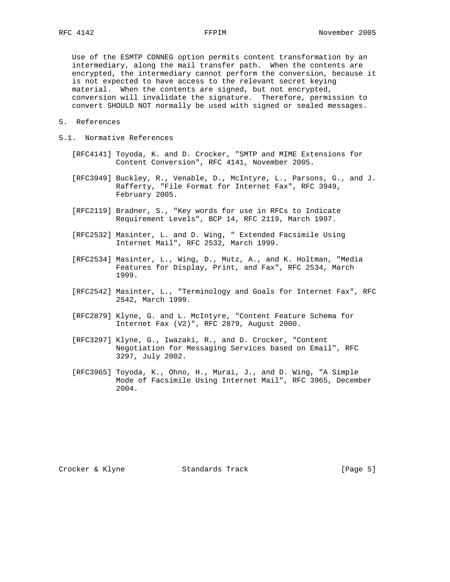Use of the ESMTP CONNEG option permits content transformation by an intermediary, along the mail transfer path. When the contents are encrypted, the intermediary cannot perform the conversion, because it is not expected to have access to the relevant secret keying material. When the contents are signed, but not encrypted, conversion will invalidate the signature. Therefore, permission to convert SHOULD NOT normally be used with signed or sealed messages.

- 5. References
- 5.1. Normative References
	- [RFC4141] Toyoda, K. and D. Crocker, "SMTP and MIME Extensions for Content Conversion", RFC 4141, November 2005.
	- [RFC3949] Buckley, R., Venable, D., McIntyre, L., Parsons, G., and J. Rafferty, "File Format for Internet Fax", RFC 3949, February 2005.
	- [RFC2119] Bradner, S., "Key words for use in RFCs to Indicate Requirement Levels", BCP 14, RFC 2119, March 1997.
	- [RFC2532] Masinter, L. and D. Wing, " Extended Facsimile Using Internet Mail", RFC 2532, March 1999.
	- [RFC2534] Masinter, L., Wing, D., Mutz, A., and K. Holtman, "Media Features for Display, Print, and Fax", RFC 2534, March 1999.
	- [RFC2542] Masinter, L., "Terminology and Goals for Internet Fax", RFC 2542, March 1999.
	- [RFC2879] Klyne, G. and L. McIntyre, "Content Feature Schema for Internet Fax (V2)", RFC 2879, August 2000.
	- [RFC3297] Klyne, G., Iwazaki, R., and D. Crocker, "Content Negotiation for Messaging Services based on Email", RFC 3297, July 2002.
	- [RFC3965] Toyoda, K., Ohno, H., Murai, J., and D. Wing, "A Simple Mode of Facsimile Using Internet Mail", RFC 3965, December 2004.

Crocker & Klyne Standards Track [Page 5]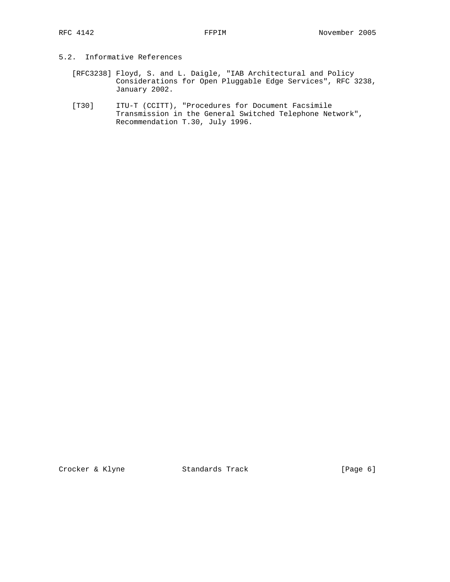# 5.2. Informative References

- [RFC3238] Floyd, S. and L. Daigle, "IAB Architectural and Policy Considerations for Open Pluggable Edge Services", RFC 3238, January 2002.
- [T30] ITU-T (CCITT), "Procedures for Document Facsimile Transmission in the General Switched Telephone Network", Recommendation T.30, July 1996.

Crocker & Klyne Standards Track [Page 6]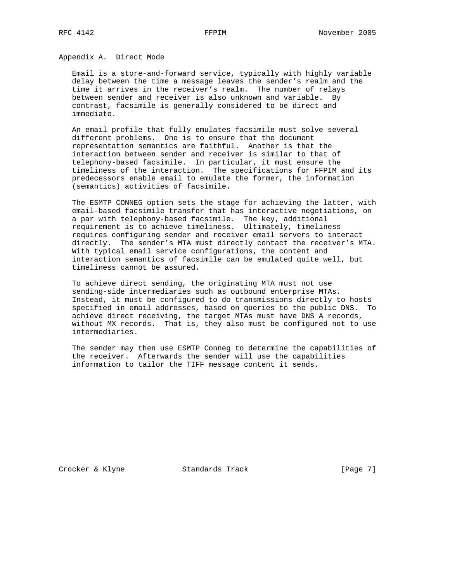Appendix A. Direct Mode

 Email is a store-and-forward service, typically with highly variable delay between the time a message leaves the sender's realm and the time it arrives in the receiver's realm. The number of relays between sender and receiver is also unknown and variable. By contrast, facsimile is generally considered to be direct and immediate.

 An email profile that fully emulates facsimile must solve several different problems. One is to ensure that the document representation semantics are faithful. Another is that the interaction between sender and receiver is similar to that of telephony-based facsimile. In particular, it must ensure the timeliness of the interaction. The specifications for FFPIM and its predecessors enable email to emulate the former, the information (semantics) activities of facsimile.

 The ESMTP CONNEG option sets the stage for achieving the latter, with email-based facsimile transfer that has interactive negotiations, on a par with telephony-based facsimile. The key, additional requirement is to achieve timeliness. Ultimately, timeliness requires configuring sender and receiver email servers to interact directly. The sender's MTA must directly contact the receiver's MTA. With typical email service configurations, the content and interaction semantics of facsimile can be emulated quite well, but timeliness cannot be assured.

 To achieve direct sending, the originating MTA must not use sending-side intermediaries such as outbound enterprise MTAs. Instead, it must be configured to do transmissions directly to hosts specified in email addresses, based on queries to the public DNS. To achieve direct receiving, the target MTAs must have DNS A records, without MX records. That is, they also must be configured not to use intermediaries.

 The sender may then use ESMTP Conneg to determine the capabilities of the receiver. Afterwards the sender will use the capabilities information to tailor the TIFF message content it sends.

Crocker & Klyne Standards Track [Page 7]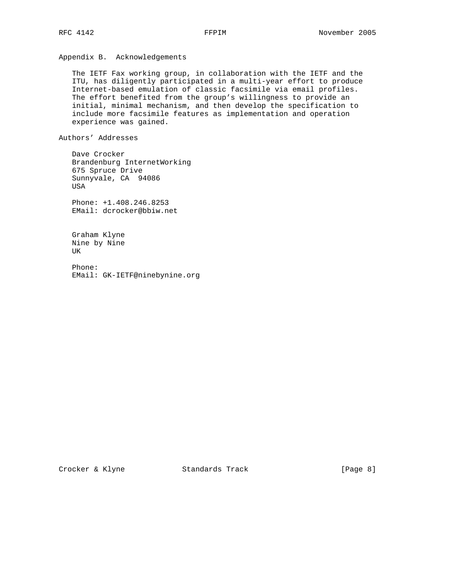Appendix B. Acknowledgements

 The IETF Fax working group, in collaboration with the IETF and the ITU, has diligently participated in a multi-year effort to produce Internet-based emulation of classic facsimile via email profiles. The effort benefited from the group's willingness to provide an initial, minimal mechanism, and then develop the specification to include more facsimile features as implementation and operation experience was gained.

Authors' Addresses

 Dave Crocker Brandenburg InternetWorking 675 Spruce Drive Sunnyvale, CA 94086 USA

 Phone: +1.408.246.8253 EMail: dcrocker@bbiw.net

 Graham Klyne Nine by Nine UK

 Phone: EMail: GK-IETF@ninebynine.org

Crocker & Klyne Standards Track [Page 8]